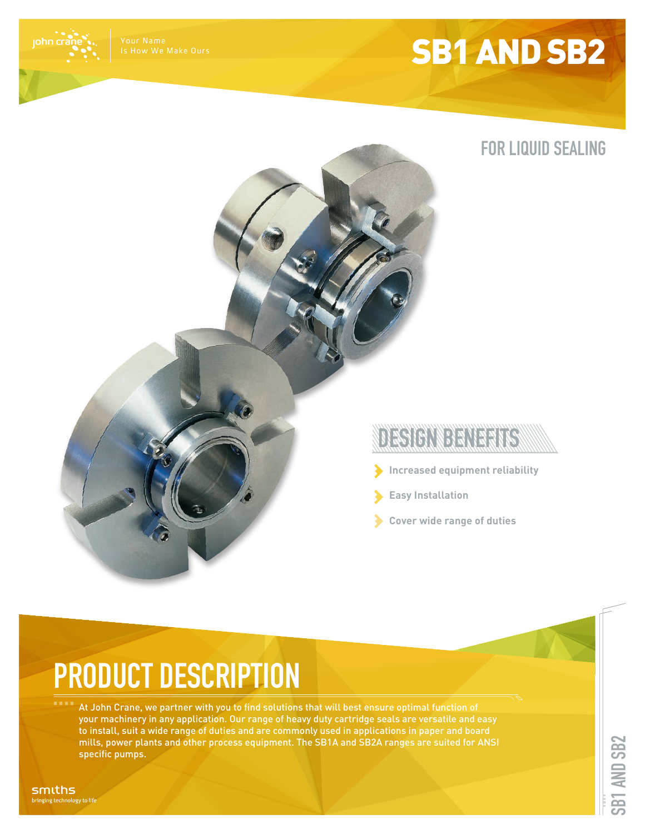# SB1 AND SB2





#### TECTOR DEN ESTO

- **Increased equipment reliability**
- **Easy Installation**
- **Cover wide range of duties**

# **PRODUCT DESCRIPTION**

At John Crane, we partner with you to find solutions that will best ensure optimal function of your machinery in any application. Our range of heavy duty cartridge seals are versatile and easy to install, suit a wide range of duties and are commonly used in applications in paper and board mills, power plants and other process equipment. The SB1A and SB2A ranges are suited for ANSI specific pumps.

smiths inging technology to life